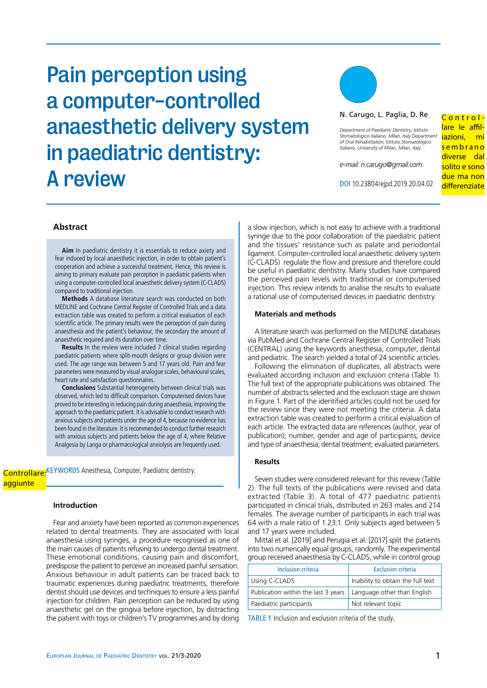# Pain perception using a computer-controlled anaesthetic delivery system in paediatric dentistry: A review



#### N. Carugo, L. Paglia, D. Re

*Department of Paediatric Dentistry, Istituto Stomatologico Italiano, Milan, Italy Department of Oral Rehabilitation, Istituto Stomatologico Italiano, University of Milan, Milan, Italy*

*e-mail: n.carugo@gmail.com*

DOI 10.23804/ejpd.2019.20.04.02

Control lare le affil-<mark>iazioni, mi</mark> s e m b r a n o diverse dal solito e sono due ma non **differenziate** 

**Aim** In paediatric dentistry it is essentials to reduce axiety and fear induced by local anaesthetic injection, in order to obtain patient's cooperation and achieve a successful treatment. Hence, this review is aiming to primary evaluate pain perception in paediatric patients when using a computer-controlled local anaesthetic delivery system (C-CLADS) compared to traditional injection.

**Methods** A database literature search was conducted on both MEDLINE and Cochrane Central Register of Controlled Trials and a data extraction table was created to perform a critical evaluation of each scientific article. The primary results were the perception of pain during anaesthesia and the patient's behaviour, the secondary the amount of anaesthetic required and its duration over time.

**Results** In the review were included 7 clinical studies regarding paediatric patients where split-mouth designs or group division were used. The age range was between 5 and 17 years old. Pain and fear parameters were measured by visual analogue scales, behavioural scales, heart rate and satisfaction questionnaires.

**Conclusions** Substantial heterogeneity between clinical trials was observed, which led to difficult comparison. Computerised devices have proved to be interesting in reducing pain during anaesthesia, improving the approach to the paediatric patient. It is advisable to conduct research with anxious subjects and patients under the age of 4, because no evidence has been found in the literature. It is recommended to conduct further research with anxious subjects and patients below the age of 4, where Relative Analgesia by Langa or pharmacological anxiolysis are frequently used.

Controllare: KEYWORDS Anesthesia, Computer, Paediatric dentistry. aggiunte

## **Introduction**

Fear and anxiety have been reported as common experiences related to dental treatments. They are associated with local anaesthesia using syringes, a procedure recognised as one of the main causes of patients refusing to undergo dental treatment. These emotional conditions, causing pain and discomfort, predispose the patient to perceive an increased painful sensation. Anxious behaviour in adult patients can be traced back to traumatic experiences during paediatric treatments, therefore dentist should use devices and techniques to ensure a less painful injection for children. Pain perception can be reduced by using anaesthetic gel on the gingiva before injection, by distracting the patient with toys or children's TV programmes and by doing

**Abstract** a slow injection, which is not easy to achieve with a traditional syringe due to the poor collaboration of the paediatric patient and the tissues' resistance such as palate and periodontal ligament. Computer-controlled local anaesthetic delivery system (C-CLADS) regulate the flow and pressure and therefore could be useful in paediatric dentistry. Many studies have compared the perceived pain levels with traditional or computerised injection. This review intends to analise the results to evaluate a rational use of computerised devices in paediatric dentistry.

#### **Materials and methods**

A literature search was performed on the MEDLINE databases via PubMed and Cochrane Central Register of Controlled Trials (CENTRAL) using the keywords anesthesia, computer, dental and pediatric. The search yielded a total of 24 scientific articles.

Following the elimination of duplicates, all abstracts were evaluated according inclusion and exclusion criteria (Table 1). The full text of the appropriate publications was obtained. The number of abstracts selected and the exclusion stage are shown in Figure 1. Part of the identified articles could not be used for the review since they were not meeting the criteria. A data extraction table was created to perform a critical evaluation of each article. The extracted data are references (author, year of publication); number, gender and age of participants; device and type of anaesthesia; dental treatment; evaluated parameters.

### **Results**

Seven studies were considered relevant for this review (Table 2). The full texts of the publications were revised and data extracted (Table 3). A total of 477 paediatric patients participated in clinical trials, distributed in 263 males and 214 females. The average number of participants in each trial was 64 with a male ratio of 1.23:1. Only subjects aged between 5 and 17 years were included.

Mittal et al. [2019] and Perugia et al. [2017] split the patients into two numerically equal groups, randomly. The experimental group received anaesthesia by C-CLADS, while in control group

| Inclusion criteria                  | <b>Exclusion criteria</b>         |
|-------------------------------------|-----------------------------------|
| Using C-CLADS                       | Inability to obtain the full text |
| Publication within the last 3 years | Language other than English       |
| Paediatric participants             | Not relevant topic                |

TABLE 1 Inclusion and exclusion criteria of the study.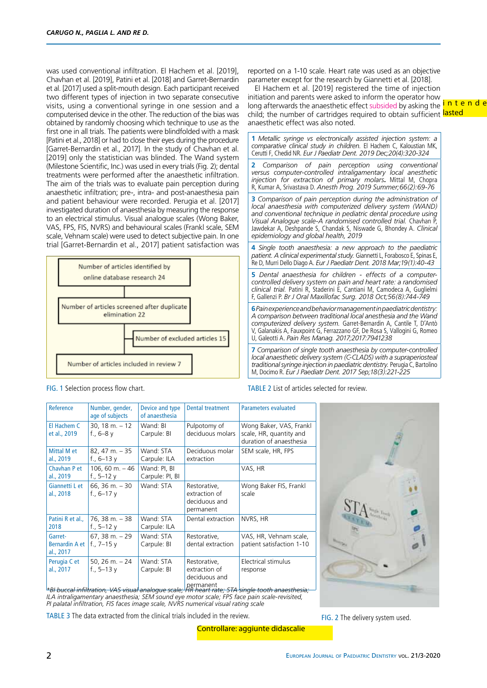was used conventional infiltration. El Hachem et al. [2019], Chavhan et al. [2019], Patini et al. [2018] and Garret-Bernardin et al. [2017] used a split-mouth design. Each participant received two different types of injection in two separate consecutive visits, using a conventional syringe in one session and a computerised device in the other. The reduction of the bias was obtained by randomly choosing which technique to use as the first one in all trials. The patients were blindfolded with a mask [Patini et al., 2018] or had to close their eyes during the procedure [Garret-Bernardin et al., 2017]. In the study of Chavhan et al. [2019] only the statistician was blinded. The Wand system (Milestone Scientific, Inc.) was used in every trials (Fig. 2); dental treatments were performed after the anaesthetic infiltration. The aim of the trials was to evaluate pain perception during anaesthetic infiltration; pre-, intra- and post-anaesthesia pain and patient behaviour were recorded. Perugia et al. [2017] investigated duration of anaesthesia by measuring the response to an electrical stimulus. Visual analogue scales (Wong Baker, VAS, FPS, FIS, NVRS) and behavioural scales (Frankl scale, SEM scale, Vehnam scale) were used to detect subjective pain. In one trial [Garret-Bernardin et al., 2017] patient satisfaction was



FIG. 1 Selection process flow chart.

reported on a 1-10 scale. Heart rate was used as an objective parameter except for the research by Giannetti et al. [2018].

El Hachem et al. [2019] registered the time of injection initiation and parents were asked to inform the operator how long afterwards the anaesthetic effect subsided by asking the land to help and the number of the number of the child; the number of cartridges required to obtain sufficient lasted anaesthetic effect was also noted.

**1** *Metallic syringe vs electronically assisted injection system: a comparative clinical study in children.* El Hachem C, Kaloustian MK, Cerutti F, Chedid NR. *Eur J Paediatr Dent. 2019 Dec;20(4):320-324*

**2** *Comparison of pain perception using conventional versus computer-controlled intraligamentary local anesthetic injection for extraction of primary molars***.** Mittal M, Chopra R, Kumar A, Srivastava D. *Anesth Prog. 2019 Summer;66(2):69-76*

**3** *Comparison of pain perception during the administration of local anaesthesia with computerized delivery system (WAND) and conventional technique in pediatric dental procedure using Visual Analogue scale-A randomised controlled trial.* Chavhan P, Jawdekar A, Deshpande S, Chandak S, Niswade G, Bhondey A. *Clinical epidemiology and global health, 2019*

**4** *Single tooth anaesthesia: a new approach to the paediatric patient. A clinical experimental study.* Giannetti L, Forabosco E, Spinas E, Re D, Murri Dello Diago A. *Eur J Paediatr Dent. 2018 Mar;19(1):40-43*

**5** *Dental anaesthesia for children - effects of a computercontrolled delivery system on pain and heart rate: a randomised clinical trial.* Patini R, Staderini E, Cantiani M, Camodeca A, Guglielmi F, Gallenzi P. *Br J Oral Maxillofac Surg. 2018 Oct;56(8):744-749*

**6***Pain experience and behavior management inpaediatricdentistry: A comparison between traditional local anesthesia and the Wand computerized delivery system.* Garret-Bernardin A, Cantile T, D'Antò V, Galanakis A, Fauxpoint G, Ferrazzano GF, De Rosa S, Vallogini G, Romeo U, Galeotti A. *Pain Res Manag. 2017;2017:7941238*

**7** *Comparison of single tooth anaesthesia by computer-controlled*  local anaesthetic delivery system (C-CLADS) with a supraperiosteal *traditional syringe injection in paediatric dentistry.* Perugia C, Bartolino M, Docimo R. *Eur J Paediatr Dent. 2017 Sep;18(3):221-225*

Table 2 List of articles selected for review.

| Reference                                                                                                          | Number, gender,<br>age of subjects | Device and type<br>of anaesthesia | <b>Dental treatment</b>                                     | <b>Parameters evaluated</b>                                                   |
|--------------------------------------------------------------------------------------------------------------------|------------------------------------|-----------------------------------|-------------------------------------------------------------|-------------------------------------------------------------------------------|
| El Hachem C<br>et al., 2019                                                                                        | $30, 18$ m. $-12$<br>f., $6-8y$    | Wand: BI<br>Carpule: BI           | Pulpotomy of<br>deciduous molars                            | Wong Baker, VAS, Frankl<br>scale, HR, quantity and<br>duration of anaesthesia |
| Mittal M et<br>al., 2019                                                                                           | 82, 47 m. - 35<br>f., 6–13 y       | Wand: STA<br>Carpule: ILA         | Deciduous molar<br>extraction                               | SEM scale, HR, FPS                                                            |
| Chavhan P et<br>al., 2019                                                                                          | 106, 60 m. $-46$<br>f., $5-12y$    | Wand: PI, BI<br>Carpule: PI, BI   |                                                             | VAS, HR                                                                       |
| Giannetti L et<br>al., 2018                                                                                        | 66, 36 m. - 30<br>f., $6-17y$      | Wand: STA                         | Restorative,<br>extraction of<br>deciduous and<br>permanent | Wong Baker FIS, Frankl<br>scale                                               |
| Patini R et al.,<br>2018                                                                                           | 76, 38 m. - 38<br>f., 5–12 y       | Wand: STA<br>Carpule: ILA         | Dental extraction                                           | NVRS, HR                                                                      |
| Garret-<br>Bernardin A et<br>al., 2017                                                                             | 67, 38 m. – 29<br>f., $7-15y$      | Wand: STA<br>Carpule: BI          | Restorative,<br>dental extraction                           | VAS, HR, Vehnam scale,<br>patient satisfaction 1-10                           |
| Perugia C et<br>al., 2017                                                                                          | 50, 26 m. $-24$<br>f., $5-13y$     | Wand: STA<br>Carpule: BI          | Restorative,<br>extraction of<br>deciduous and              | Electrical stimulus<br>response                                               |
| <br>  permanent   parmanent   kart die tooth anaesthesia;   kart die stad   kart die stad   kart die stad   kart d |                                    |                                   |                                                             |                                                                               |

*ILA intraligamentary anaesthesia; SEM sound eye motor scale; FPS face pain scale-revisited, PI palatal infiltration, FIS faces image scale, NVRS numerical visual rating scale*

Table 3 The data extracted from the clinical trials included in the review.

Controllare: aggiunte didascalie

FIG. 2 The delivery system used.